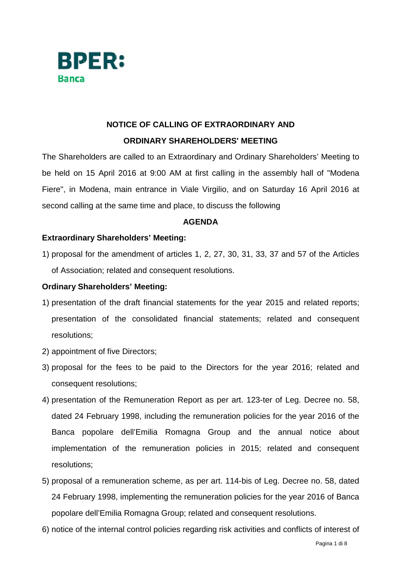

# **NOTICE OF CALLING OF EXTRAORDINARY AND ORDINARY SHAREHOLDERS' MEETING**

The Shareholders are called to an Extraordinary and Ordinary Shareholders' Meeting to be held on 15 April 2016 at 9:00 AM at first calling in the assembly hall of "Modena Fiere", in Modena, main entrance in Viale Virgilio, and on Saturday 16 April 2016 at second calling at the same time and place, to discuss the following

## **AGENDA**

# **Extraordinary Shareholders' Meeting:**

1) proposal for the amendment of articles 1, 2, 27, 30, 31, 33, 37 and 57 of the Articles of Association; related and consequent resolutions.

# **Ordinary Shareholders' Meeting:**

- 1) presentation of the draft financial statements for the year 2015 and related reports; presentation of the consolidated financial statements; related and consequent resolutions;
- 2) appointment of five Directors;
- 3) proposal for the fees to be paid to the Directors for the year 2016; related and consequent resolutions;
- 4) presentation of the Remuneration Report as per art. 123-ter of Leg. Decree no. 58, dated 24 February 1998, including the remuneration policies for the year 2016 of the Banca popolare dell'Emilia Romagna Group and the annual notice about implementation of the remuneration policies in 2015; related and consequent resolutions;
- 5) proposal of a remuneration scheme, as per art. 114-bis of Leg. Decree no. 58, dated 24 February 1998, implementing the remuneration policies for the year 2016 of Banca popolare dell'Emilia Romagna Group; related and consequent resolutions.
- 6) notice of the internal control policies regarding risk activities and conflicts of interest of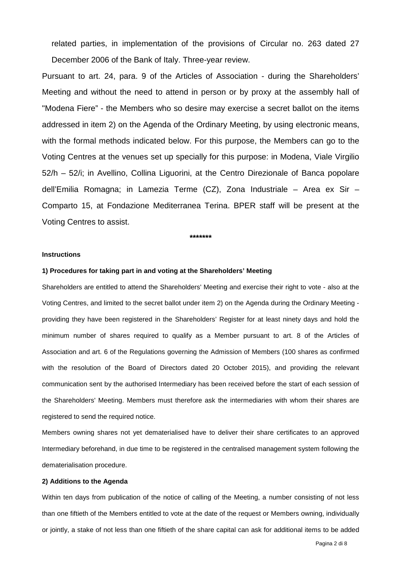related parties, in implementation of the provisions of Circular no. 263 dated 27 December 2006 of the Bank of Italy. Three-year review.

Pursuant to art. 24, para. 9 of the Articles of Association - during the Shareholders' Meeting and without the need to attend in person or by proxy at the assembly hall of "Modena Fiere" - the Members who so desire may exercise a secret ballot on the items addressed in item 2) on the Agenda of the Ordinary Meeting, by using electronic means, with the formal methods indicated below. For this purpose, the Members can go to the Voting Centres at the venues set up specially for this purpose: in Modena, Viale Virgilio 52/h – 52/i; in Avellino, Collina Liguorini, at the Centro Direzionale of Banca popolare dell'Emilia Romagna; in Lamezia Terme (CZ), Zona Industriale – Area ex Sir – Comparto 15, at Fondazione Mediterranea Terina. BPER staff will be present at the Voting Centres to assist.

**\*\*\*\*\*\*\***

## **Instructions**

#### **1) Procedures for taking part in and voting at the Shareholders' Meeting**

Shareholders are entitled to attend the Shareholders' Meeting and exercise their right to vote - also at the Voting Centres, and limited to the secret ballot under item 2) on the Agenda during the Ordinary Meeting providing they have been registered in the Shareholders' Register for at least ninety days and hold the minimum number of shares required to qualify as a Member pursuant to art. 8 of the Articles of Association and art. 6 of the Regulations governing the Admission of Members (100 shares as confirmed with the resolution of the Board of Directors dated 20 October 2015), and providing the relevant communication sent by the authorised Intermediary has been received before the start of each session of the Shareholders' Meeting. Members must therefore ask the intermediaries with whom their shares are registered to send the required notice.

Members owning shares not yet dematerialised have to deliver their share certificates to an approved Intermediary beforehand, in due time to be registered in the centralised management system following the dematerialisation procedure.

#### **2) Additions to the Agenda**

Within ten days from publication of the notice of calling of the Meeting, a number consisting of not less than one fiftieth of the Members entitled to vote at the date of the request or Members owning, individually or jointly, a stake of not less than one fiftieth of the share capital can ask for additional items to be added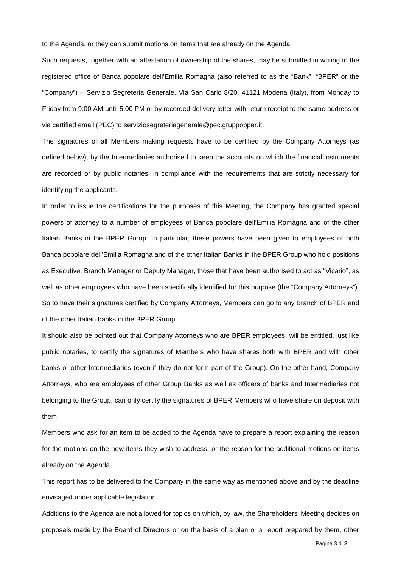to the Agenda, or they can submit motions on items that are already on the Agenda.

Such requests, together with an attestation of ownership of the shares, may be submitted in writing to the registered office of Banca popolare dell'Emilia Romagna (also referred to as the "Bank", "BPER" or the "Company") – Servizio Segreteria Generale, Via San Carlo 8/20, 41121 Modena (Italy), from Monday to Friday from 9:00 AM until 5:00 PM or by recorded delivery letter with return receipt to the same address or via certified email (PEC) to serviziosegreteriagenerale@pec.gruppobper.it.

The signatures of all Members making requests have to be certified by the Company Attorneys (as defined below), by the Intermediaries authorised to keep the accounts on which the financial instruments are recorded or by public notaries, in compliance with the requirements that are strictly necessary for identifying the applicants.

In order to issue the certifications for the purposes of this Meeting, the Company has granted special powers of attorney to a number of employees of Banca popolare dell'Emilia Romagna and of the other Italian Banks in the BPER Group. In particular, these powers have been given to employees of both Banca popolare dell'Emilia Romagna and of the other Italian Banks in the BPER Group who hold positions as Executive, Branch Manager or Deputy Manager, those that have been authorised to act as "Vicario", as well as other employees who have been specifically identified for this purpose (the "Company Attorneys"). So to have their signatures certified by Company Attorneys, Members can go to any Branch of BPER and of the other Italian banks in the BPER Group.

It should also be pointed out that Company Attorneys who are BPER employees, will be entitled, just like public notaries, to certify the signatures of Members who have shares both with BPER and with other banks or other Intermediaries (even if they do not form part of the Group). On the other hand, Company Attorneys, who are employees of other Group Banks as well as officers of banks and Intermediaries not belonging to the Group, can only certify the signatures of BPER Members who have share on deposit with them.

Members who ask for an item to be added to the Agenda have to prepare a report explaining the reason for the motions on the new items they wish to address, or the reason for the additional motions on items already on the Agenda.

This report has to be delivered to the Company in the same way as mentioned above and by the deadline envisaged under applicable legislation.

Additions to the Agenda are not allowed for topics on which, by law, the Shareholders' Meeting decides on proposals made by the Board of Directors or on the basis of a plan or a report prepared by them, other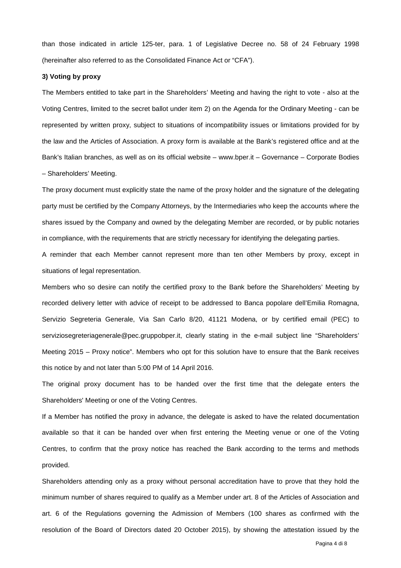than those indicated in article 125-ter, para. 1 of Legislative Decree no. 58 of 24 February 1998 (hereinafter also referred to as the Consolidated Finance Act or "CFA").

## **3) Voting by proxy**

The Members entitled to take part in the Shareholders' Meeting and having the right to vote - also at the Voting Centres, limited to the secret ballot under item 2) on the Agenda for the Ordinary Meeting - can be represented by written proxy, subject to situations of incompatibility issues or limitations provided for by the law and the Articles of Association. A proxy form is available at the Bank's registered office and at the Bank's Italian branches, as well as on its official website – www.bper.it – Governance – Corporate Bodies – Shareholders' Meeting.

The proxy document must explicitly state the name of the proxy holder and the signature of the delegating party must be certified by the Company Attorneys, by the Intermediaries who keep the accounts where the shares issued by the Company and owned by the delegating Member are recorded, or by public notaries in compliance, with the requirements that are strictly necessary for identifying the delegating parties.

A reminder that each Member cannot represent more than ten other Members by proxy, except in situations of legal representation.

Members who so desire can notify the certified proxy to the Bank before the Shareholders' Meeting by recorded delivery letter with advice of receipt to be addressed to Banca popolare dell'Emilia Romagna, Servizio Segreteria Generale, Via San Carlo 8/20, 41121 Modena, or by certified email (PEC) to serviziosegreteriagenerale@pec.gruppobper.it, clearly stating in the e-mail subject line "Shareholders' Meeting 2015 – Proxy notice". Members who opt for this solution have to ensure that the Bank receives this notice by and not later than 5:00 PM of 14 April 2016.

The original proxy document has to be handed over the first time that the delegate enters the Shareholders' Meeting or one of the Voting Centres.

If a Member has notified the proxy in advance, the delegate is asked to have the related documentation available so that it can be handed over when first entering the Meeting venue or one of the Voting Centres, to confirm that the proxy notice has reached the Bank according to the terms and methods provided.

Shareholders attending only as a proxy without personal accreditation have to prove that they hold the minimum number of shares required to qualify as a Member under art. 8 of the Articles of Association and art. 6 of the Regulations governing the Admission of Members (100 shares as confirmed with the resolution of the Board of Directors dated 20 October 2015), by showing the attestation issued by the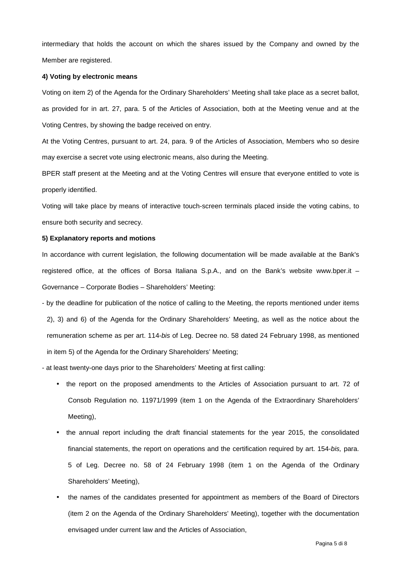intermediary that holds the account on which the shares issued by the Company and owned by the Member are registered.

#### **4) Voting by electronic means**

Voting on item 2) of the Agenda for the Ordinary Shareholders' Meeting shall take place as a secret ballot, as provided for in art. 27, para. 5 of the Articles of Association, both at the Meeting venue and at the Voting Centres, by showing the badge received on entry.

At the Voting Centres, pursuant to art. 24, para. 9 of the Articles of Association, Members who so desire may exercise a secret vote using electronic means, also during the Meeting.

BPER staff present at the Meeting and at the Voting Centres will ensure that everyone entitled to vote is properly identified.

Voting will take place by means of interactive touch-screen terminals placed inside the voting cabins, to ensure both security and secrecy.

#### **5) Explanatory reports and motions**

In accordance with current legislation, the following documentation will be made available at the Bank's registered office, at the offices of Borsa Italiana S.p.A., and on the Bank's website www.bper.it – Governance – Corporate Bodies – Shareholders' Meeting:

- by the deadline for publication of the notice of calling to the Meeting, the reports mentioned under items 2), 3) and 6) of the Agenda for the Ordinary Shareholders' Meeting, as well as the notice about the remuneration scheme as per art. 114-bis of Leg. Decree no. 58 dated 24 February 1998, as mentioned in item 5) of the Agenda for the Ordinary Shareholders' Meeting;

- at least twenty-one days prior to the Shareholders' Meeting at first calling:

- the report on the proposed amendments to the Articles of Association pursuant to art. 72 of Consob Regulation no. 11971/1999 (item 1 on the Agenda of the Extraordinary Shareholders' Meeting),
- the annual report including the draft financial statements for the year 2015, the consolidated financial statements, the report on operations and the certification required by art. 154-bis, para. 5 of Leg. Decree no. 58 of 24 February 1998 (item 1 on the Agenda of the Ordinary Shareholders' Meeting),
- the names of the candidates presented for appointment as members of the Board of Directors (item 2 on the Agenda of the Ordinary Shareholders' Meeting), together with the documentation envisaged under current law and the Articles of Association,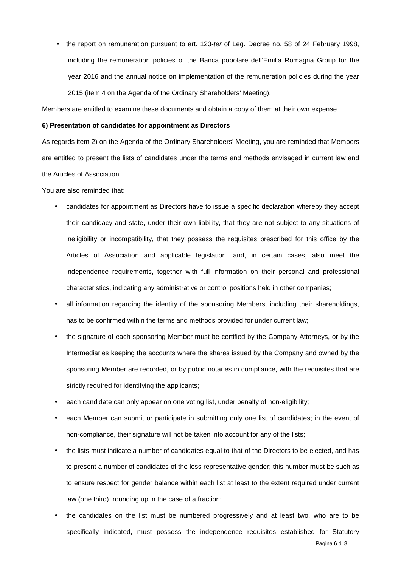the report on remuneration pursuant to art. 123-ter of Leg. Decree no. 58 of 24 February 1998, including the remuneration policies of the Banca popolare dell'Emilia Romagna Group for the year 2016 and the annual notice on implementation of the remuneration policies during the year 2015 (item 4 on the Agenda of the Ordinary Shareholders' Meeting).

Members are entitled to examine these documents and obtain a copy of them at their own expense.

#### **6) Presentation of candidates for appointment as Directors**

As regards item 2) on the Agenda of the Ordinary Shareholders' Meeting, you are reminded that Members are entitled to present the lists of candidates under the terms and methods envisaged in current law and the Articles of Association.

You are also reminded that:

- candidates for appointment as Directors have to issue a specific declaration whereby they accept their candidacy and state, under their own liability, that they are not subject to any situations of ineligibility or incompatibility, that they possess the requisites prescribed for this office by the Articles of Association and applicable legislation, and, in certain cases, also meet the independence requirements, together with full information on their personal and professional characteristics, indicating any administrative or control positions held in other companies;
- all information regarding the identity of the sponsoring Members, including their shareholdings, has to be confirmed within the terms and methods provided for under current law;
- the signature of each sponsoring Member must be certified by the Company Attorneys, or by the Intermediaries keeping the accounts where the shares issued by the Company and owned by the sponsoring Member are recorded, or by public notaries in compliance, with the requisites that are strictly required for identifying the applicants;
- each candidate can only appear on one voting list, under penalty of non-eligibility;
- each Member can submit or participate in submitting only one list of candidates; in the event of non-compliance, their signature will not be taken into account for any of the lists;
- the lists must indicate a number of candidates equal to that of the Directors to be elected, and has to present a number of candidates of the less representative gender; this number must be such as to ensure respect for gender balance within each list at least to the extent required under current law (one third), rounding up in the case of a fraction;
- the candidates on the list must be numbered progressively and at least two, who are to be specifically indicated, must possess the independence requisites established for Statutory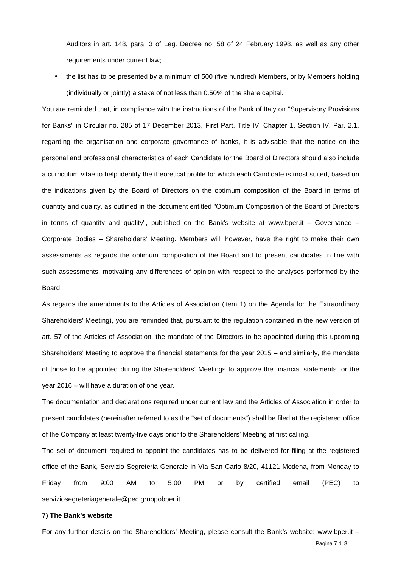Auditors in art. 148, para. 3 of Leg. Decree no. 58 of 24 February 1998, as well as any other requirements under current law;

• the list has to be presented by a minimum of 500 (five hundred) Members, or by Members holding (individually or jointly) a stake of not less than 0.50% of the share capital.

You are reminded that, in compliance with the instructions of the Bank of Italy on "Supervisory Provisions for Banks" in Circular no. 285 of 17 December 2013, First Part, Title IV, Chapter 1, Section IV, Par. 2.1, regarding the organisation and corporate governance of banks, it is advisable that the notice on the personal and professional characteristics of each Candidate for the Board of Directors should also include a curriculum vitae to help identify the theoretical profile for which each Candidate is most suited, based on the indications given by the Board of Directors on the optimum composition of the Board in terms of quantity and quality, as outlined in the document entitled "Optimum Composition of the Board of Directors in terms of quantity and quality", published on the Bank's website at www.bper.it – Governance – Corporate Bodies – Shareholders' Meeting. Members will, however, have the right to make their own assessments as regards the optimum composition of the Board and to present candidates in line with such assessments, motivating any differences of opinion with respect to the analyses performed by the Board.

As regards the amendments to the Articles of Association (item 1) on the Agenda for the Extraordinary Shareholders' Meeting), you are reminded that, pursuant to the regulation contained in the new version of art. 57 of the Articles of Association, the mandate of the Directors to be appointed during this upcoming Shareholders' Meeting to approve the financial statements for the year 2015 – and similarly, the mandate of those to be appointed during the Shareholders' Meetings to approve the financial statements for the year 2016 – will have a duration of one year.

The documentation and declarations required under current law and the Articles of Association in order to present candidates (hereinafter referred to as the "set of documents") shall be filed at the registered office of the Company at least twenty-five days prior to the Shareholders' Meeting at first calling.

The set of document required to appoint the candidates has to be delivered for filing at the registered office of the Bank, Servizio Segreteria Generale in Via San Carlo 8/20, 41121 Modena, from Monday to Friday from 9:00 AM to 5:00 PM or by certified email (PEC) to serviziosegreteriagenerale@pec.gruppobper.it.

## **7) The Bank's website**

For any further details on the Shareholders' Meeting, please consult the Bank's website: www.bper.it –